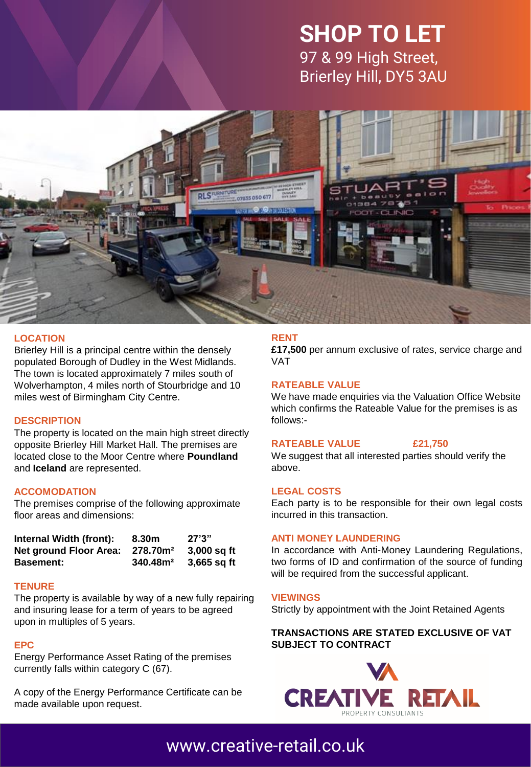# **SHOP TO LET** 97 & 99 High Street, Brierley Hill, DY5 3AU



## **LOCATION**

Brierley Hill is a principal centre within the densely populated Borough of Dudley in the West Midlands. The town is located approximately 7 miles south of Wolverhampton, 4 miles north of Stourbridge and 10 miles west of Birmingham City Centre.

#### **DESCRIPTION**

The property is located on the main high street directly opposite Brierley Hill Market Hall. The premises are located close to the Moor Centre where **Poundland** and **Iceland** are represented.

## **ACCOMODATION**

The premises comprise of the following approximate floor areas and dimensions:

| Internal Width (front):       | 8.30m                | 27'3''      |
|-------------------------------|----------------------|-------------|
| <b>Net ground Floor Area:</b> | 278.70m <sup>2</sup> | 3,000 sq ft |
| <b>Basement:</b>              | 340.48 <sup>2</sup>  | 3.665 sq ft |

#### **TENURE**

The property is available by way of a new fully repairing and insuring lease for a term of years to be agreed upon in multiples of 5 years.

#### **EPC**

Energy Performance Asset Rating of the premises currently falls within category C (67).

A copy of the Energy Performance Certificate can be made available upon request.

# **RENT**

**£17,500** per annum exclusive of rates, service charge and VAT

### **RATEABLE VALUE**

We have made enquiries via the Valuation Office Website which confirms the Rateable Value for the premises is as follows:-

#### **RATEABLE VALUE £21,750**

We suggest that all interested parties should verify the above.

#### **LEGAL COSTS**

Each party is to be responsible for their own legal costs incurred in this transaction.

#### **ANTI MONEY LAUNDERING**

In accordance with Anti-Money Laundering Regulations, two forms of ID and confirmation of the source of funding will be required from the successful applicant.

### **VIEWINGS**

Strictly by appointment with the Joint Retained Agents

## **TRANSACTIONS ARE STATED EXCLUSIVE OF VAT SUBJECT TO CONTRACT**

![](_page_0_Picture_28.jpeg)

# [www.creative-retail.co.uk](http://www.creative-retail.co.uk/)